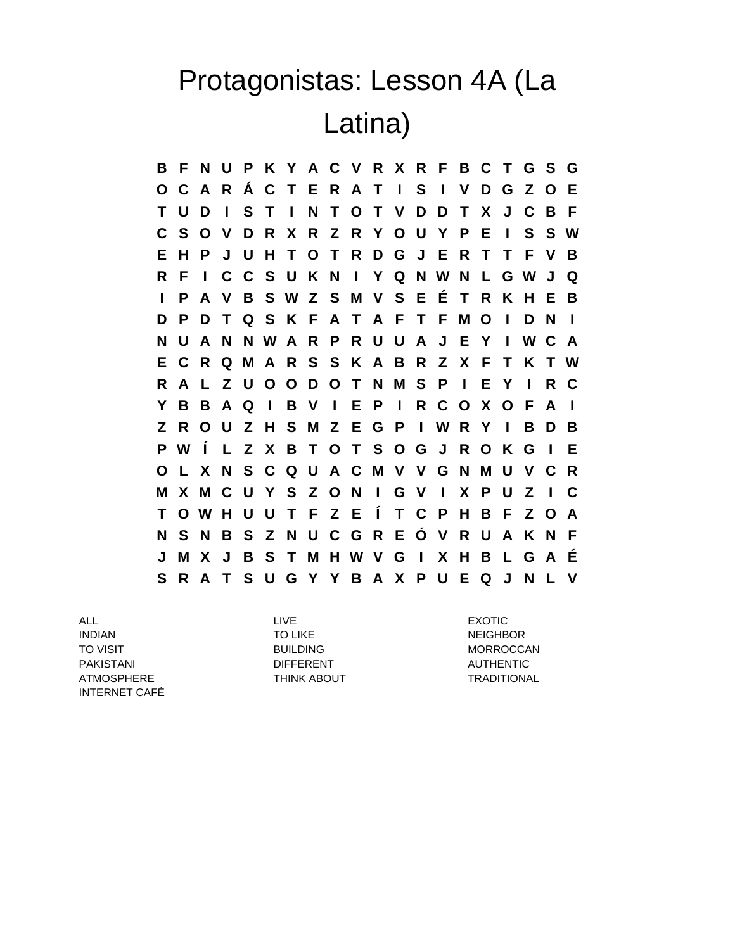## Protagonistas: Lesson 4A (La Latina)

**B F N U P K Y A C V R X R F B C T G S G O C A R Á C T E R A T I S I V D G Z O E T U D I S T I N T O T V D D T X J C B F C S O V D R X R Z R Y O U Y P E I S S W E H P J U H T O T R D G J E R T T F V B R F I C C S U K N I Y Q N W N L G W J Q I P A V B S W Z S M V S E É T R K H E B D P D T Q S K F A T A F T F M O I D N I N U A N N W A R P R U U A J E Y I W C A E C R Q M A R S S K A B R Z X F T K T W R A L Z U O O D O T N M S P I E Y I R C Y B B A Q I B V I E P I R C O X O F A I Z R O U Z H S M Z E G P I W R Y I B D B P W Í L Z X B T O T S O G J R O K G I E O L X N S C Q U A C M V V G N M U V C R M X M C U Y S Z O N I G V I X P U Z I C T O W H U U T F Z E Í T C P H B F Z O A N S N B S Z N U C G R E Ó V R U A K N F J M X J B S T M H W V G I X H B L G A É S R A T S U G Y Y B A X P U E Q J N L V**

ALL LIVE EXOTIC INDIAN TO LIKE NEIGHBOR TO VISIT **EXAMPLE TO VISIT A RELATION CONTRACT CONTRACT BUILDING MORROCCAN** PAKISTANI DIFFERENT DIFFERENT AUTHENTIC ATMOSPHERE THINK ABOUT THING TRADITIONAL INTERNET CAFÉ